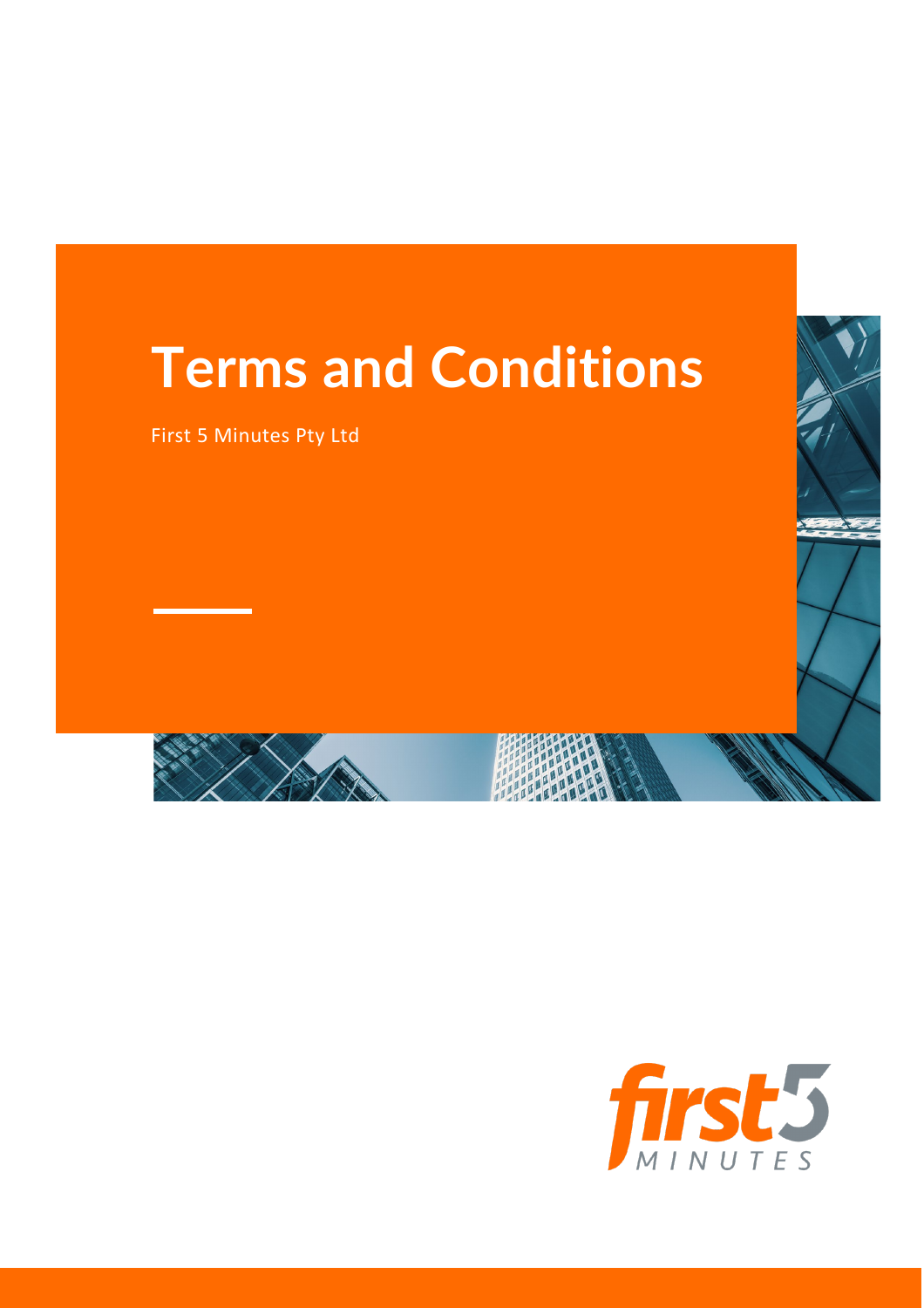# **Terms and Conditions**

First 5 Minutes Pty Ltd



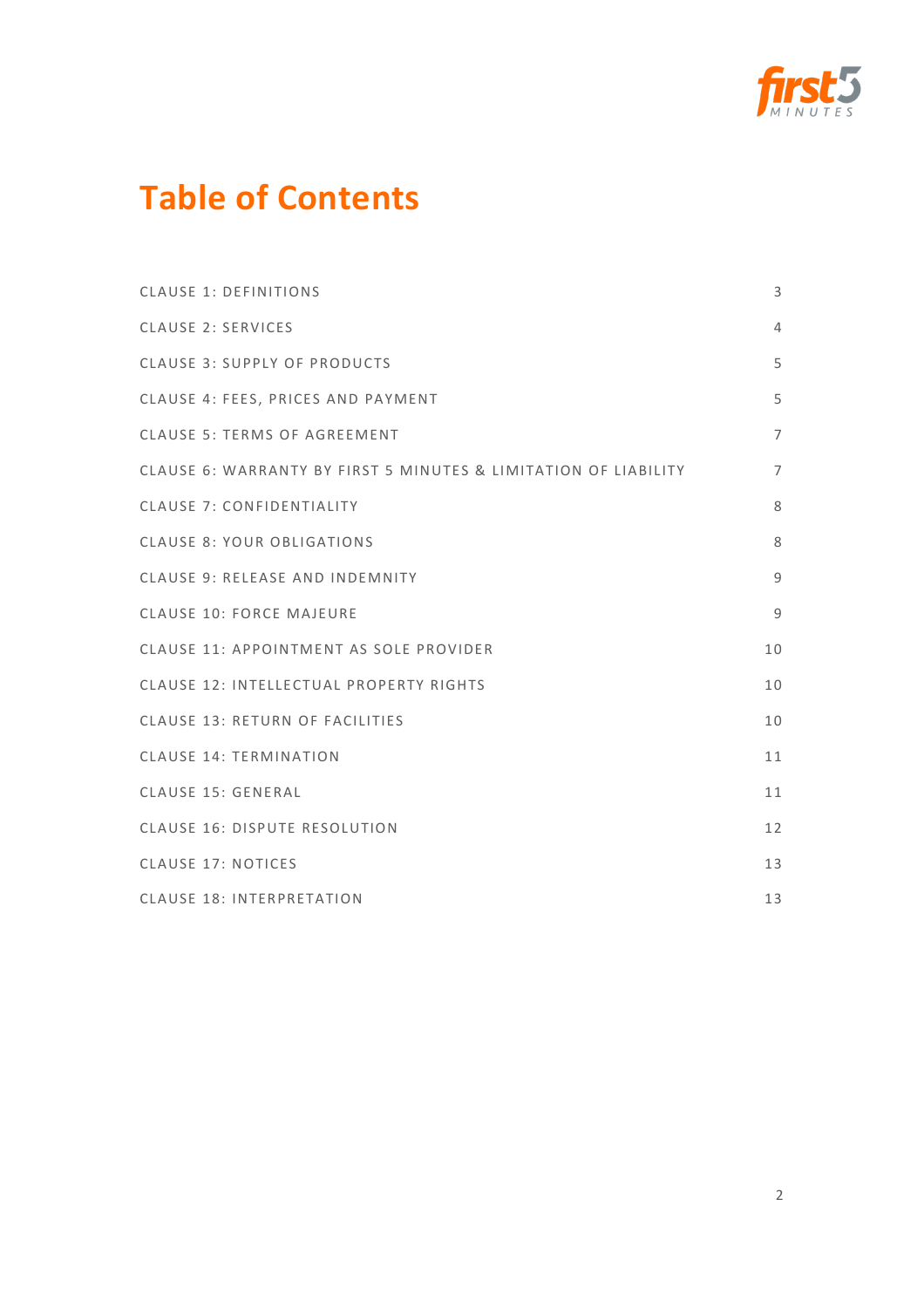

## **Table of Contents**

| <b>CLAUSE 1: DEFINITIONS</b>                                    | 3              |
|-----------------------------------------------------------------|----------------|
| <b>CLAUSE 2: SERVICES</b>                                       | $\overline{4}$ |
| <b>CLAUSE 3: SUPPLY OF PRODUCTS</b>                             | 5              |
| CLAUSE 4: FEES, PRICES AND PAYMENT                              | 5              |
| <b>CLAUSE 5: TERMS OF AGREEMENT</b>                             | $\overline{7}$ |
| CLAUSE 6: WARRANTY BY FIRST 5 MINUTES & LIMITATION OF LIABILITY | $\overline{7}$ |
| <b>CLAUSE 7: CONFIDENTIALITY</b>                                | 8              |
| <b>CLAUSE 8: YOUR OBLIGATIONS</b>                               | 8              |
| CLAUSE 9: RELEASE AND INDEMNITY                                 | 9              |
| <b>CLAUSE 10: FORCE MAJEURE</b>                                 | 9              |
| CLAUSE 11: APPOINTMENT AS SOLE PROVIDER                         | 10             |
| CLAUSE 12: INTELLECTUAL PROPERTY RIGHTS                         | 10             |
| CLAUSE 13: RETURN OF FACILITIES                                 | 10             |
| <b>CLAUSE 14: TERMINATION</b>                                   | 11             |
| <b>CLAUSE 15: GENERAL</b>                                       | 11             |
| CLAUSE 16: DISPUTE RESOLUTION                                   | 12             |
| <b>CLAUSE 17: NOTICES</b>                                       | 13             |
| <b>CLAUSE 18: INTERPRETATION</b>                                | 13             |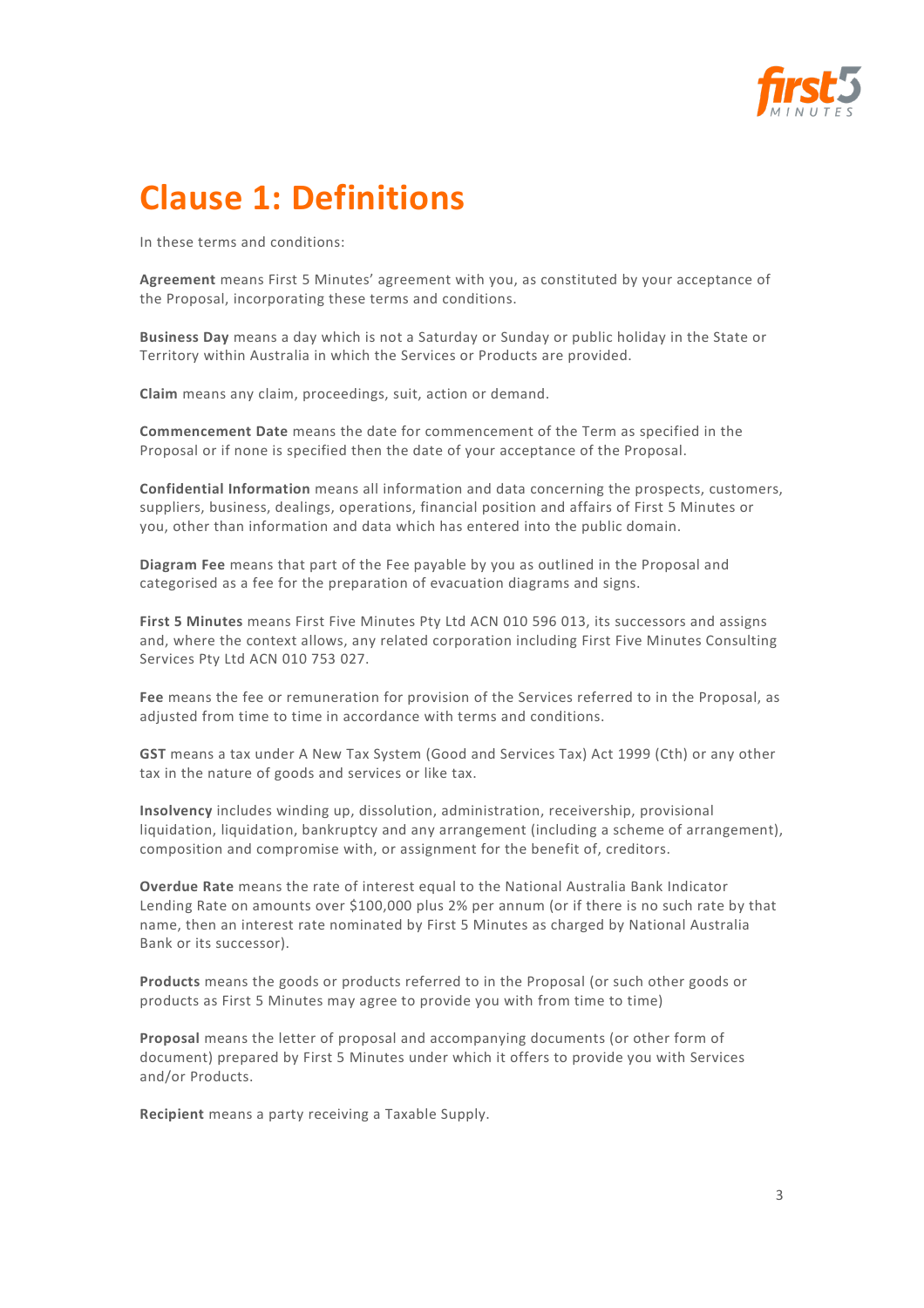

# **Clause 1: Definitions**

In these terms and conditions:

**Agreement** means First 5 Minutes' agreement with you, as constituted by your acceptance of the Proposal, incorporating these terms and conditions.

**Business Day** means a day which is not a Saturday or Sunday or public holiday in the State or Territory within Australia in which the Services or Products are provided.

**Claim** means any claim, proceedings, suit, action or demand.

**Commencement Date** means the date for commencement of the Term as specified in the Proposal or if none is specified then the date of your acceptance of the Proposal.

**Confidential Information** means all information and data concerning the prospects, customers, suppliers, business, dealings, operations, financial position and affairs of First 5 Minutes or you, other than information and data which has entered into the public domain.

**Diagram Fee** means that part of the Fee payable by you as outlined in the Proposal and categorised as a fee for the preparation of evacuation diagrams and signs.

**First 5 Minutes** means First Five Minutes Pty Ltd ACN 010 596 013, its successors and assigns and, where the context allows, any related corporation including First Five Minutes Consulting Services Pty Ltd ACN 010 753 027.

**Fee** means the fee or remuneration for provision of the Services referred to in the Proposal, as adjusted from time to time in accordance with terms and conditions.

**GST** means a tax under A New Tax System (Good and Services Tax) Act 1999 (Cth) or any other tax in the nature of goods and services or like tax.

**Insolvency** includes winding up, dissolution, administration, receivership, provisional liquidation, liquidation, bankruptcy and any arrangement (including a scheme of arrangement), composition and compromise with, or assignment for the benefit of, creditors.

**Overdue Rate** means the rate of interest equal to the National Australia Bank Indicator Lending Rate on amounts over \$100,000 plus 2% per annum (or if there is no such rate by that name, then an interest rate nominated by First 5 Minutes as charged by National Australia Bank or its successor).

**Products** means the goods or products referred to in the Proposal (or such other goods or products as First 5 Minutes may agree to provide you with from time to time)

**Proposal** means the letter of proposal and accompanying documents (or other form of document) prepared by First 5 Minutes under which it offers to provide you with Services and/or Products.

**Recipient** means a party receiving a Taxable Supply.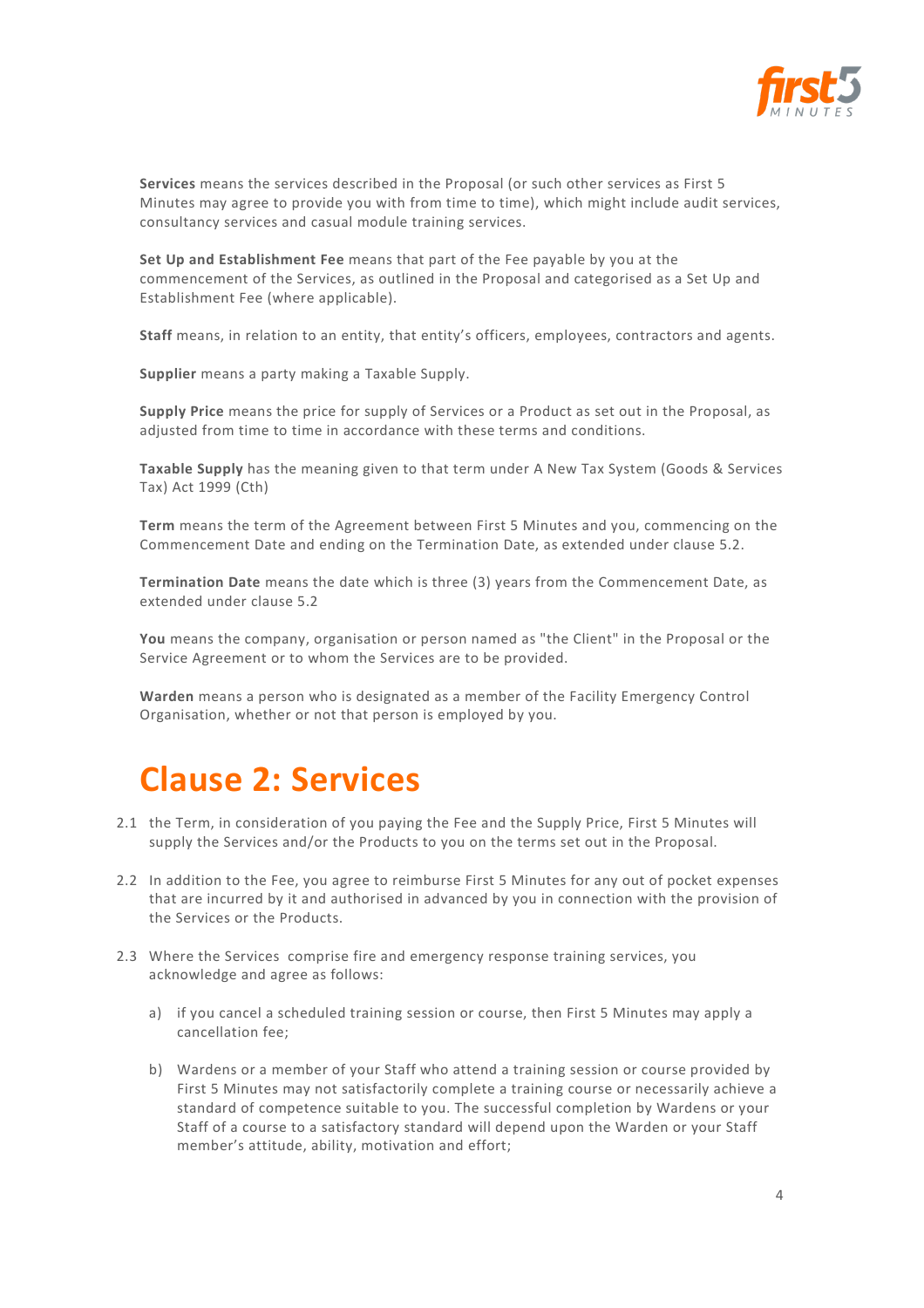

**Services** means the services described in the Proposal (or such other services as First 5 Minutes may agree to provide you with from time to time), which might include audit services, consultancy services and casual module training services.

**Set Up and Establishment Fee** means that part of the Fee payable by you at the commencement of the Services, as outlined in the Proposal and categorised as a Set Up and Establishment Fee (where applicable).

**Staff** means, in relation to an entity, that entity's officers, employees, contractors and agents.

**Supplier** means a party making a Taxable Supply.

**Supply Price** means the price for supply of Services or a Product as set out in the Proposal, as adjusted from time to time in accordance with these terms and conditions.

**Taxable Supply** has the meaning given to that term under A New Tax System (Goods & Services Tax) Act 1999 (Cth)

**Term** means the term of the Agreement between First 5 Minutes and you, commencing on the Commencement Date and ending on the Termination Date, as extended under clause 5.2.

**Termination Date** means the date which is three (3) years from the Commencement Date, as extended under clause 5.2

**You** means the company, organisation or person named as "the Client" in the Proposal or the Service Agreement or to whom the Services are to be provided.

**Warden** means a person who is designated as a member of the Facility Emergency Control Organisation, whether or not that person is employed by you.

#### **Clause 2: Services**

- 2.1 the Term, in consideration of you paying the Fee and the Supply Price, First 5 Minutes will supply the Services and/or the Products to you on the terms set out in the Proposal.
- 2.2 In addition to the Fee, you agree to reimburse First 5 Minutes for any out of pocket expenses that are incurred by it and authorised in advanced by you in connection with the provision of the Services or the Products.
- 2.3 Where the Services comprise fire and emergency response training services, you acknowledge and agree as follows:
	- a) if you cancel a scheduled training session or course, then First 5 Minutes may apply a cancellation fee;
	- b) Wardens or a member of your Staff who attend a training session or course provided by First 5 Minutes may not satisfactorily complete a training course or necessarily achieve a standard of competence suitable to you. The successful completion by Wardens or your Staff of a course to a satisfactory standard will depend upon the Warden or your Staff member's attitude, ability, motivation and effort;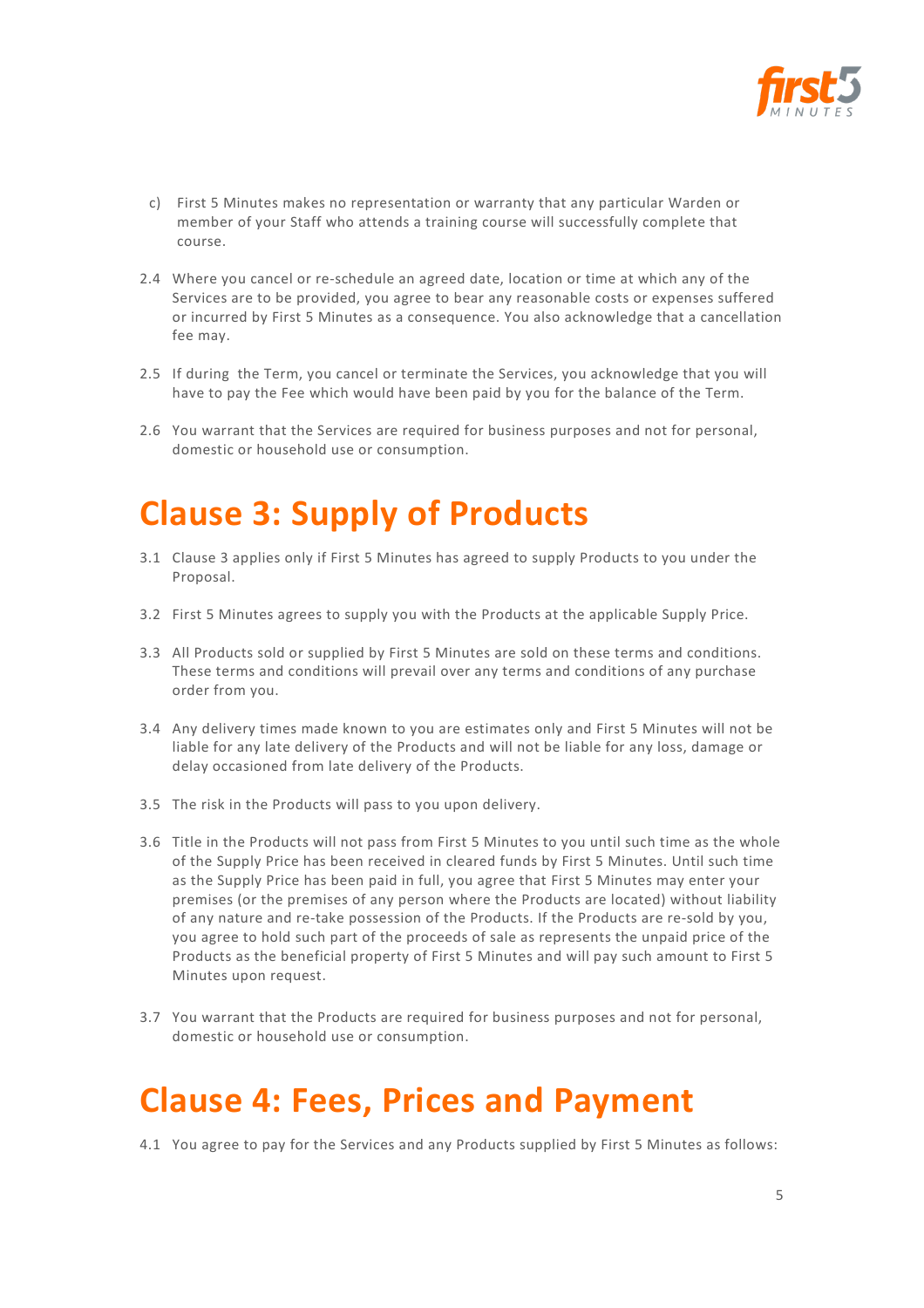

- c) First 5 Minutes makes no representation or warranty that any particular Warden or member of your Staff who attends a training course will successfully complete that course.
- 2.4 Where you cancel or re-schedule an agreed date, location or time at which any of the Services are to be provided, you agree to bear any reasonable costs or expenses suffered or incurred by First 5 Minutes as a consequence. You also acknowledge that a cancellation fee may.
- 2.5 If during the Term, you cancel or terminate the Services, you acknowledge that you will have to pay the Fee which would have been paid by you for the balance of the Term.
- 2.6 You warrant that the Services are required for business purposes and not for personal, domestic or household use or consumption.

## **Clause 3: Supply of Products**

- 3.1 Clause 3 applies only if First 5 Minutes has agreed to supply Products to you under the Proposal.
- 3.2 First 5 Minutes agrees to supply you with the Products at the applicable Supply Price.
- 3.3 All Products sold or supplied by First 5 Minutes are sold on these terms and conditions. These terms and conditions will prevail over any terms and conditions of any purchase order from you.
- 3.4 Any delivery times made known to you are estimates only and First 5 Minutes will not be liable for any late delivery of the Products and will not be liable for any loss, damage or delay occasioned from late delivery of the Products.
- 3.5 The risk in the Products will pass to you upon delivery.
- 3.6 Title in the Products will not pass from First 5 Minutes to you until such time as the whole of the Supply Price has been received in cleared funds by First 5 Minutes. Until such time as the Supply Price has been paid in full, you agree that First 5 Minutes may enter your premises (or the premises of any person where the Products are located) without liability of any nature and re-take possession of the Products. If the Products are re-sold by you, you agree to hold such part of the proceeds of sale as represents the unpaid price of the Products as the beneficial property of First 5 Minutes and will pay such amount to First 5 Minutes upon request.
- 3.7 You warrant that the Products are required for business purposes and not for personal, domestic or household use or consumption.

#### **Clause 4: Fees, Prices and Payment**

4.1 You agree to pay for the Services and any Products supplied by First 5 Minutes as follows: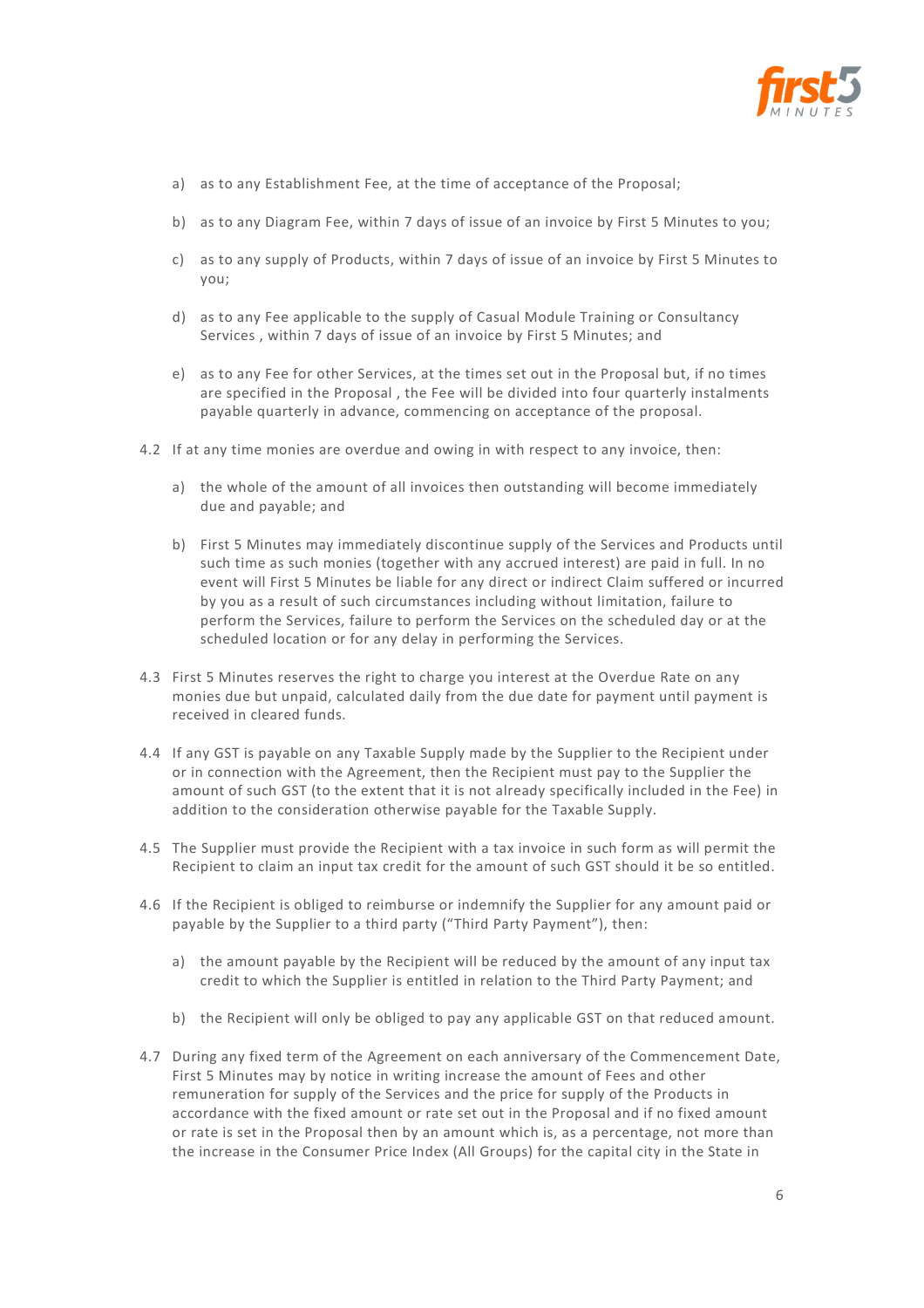

- a) as to any Establishment Fee, at the time of acceptance of the Proposal;
- b) as to any Diagram Fee, within 7 days of issue of an invoice by First 5 Minutes to you;
- c) as to any supply of Products, within 7 days of issue of an invoice by First 5 Minutes to you;
- d) as to any Fee applicable to the supply of Casual Module Training or Consultancy Services , within 7 days of issue of an invoice by First 5 Minutes; and
- e) as to any Fee for other Services, at the times set out in the Proposal but, if no times are specified in the Proposal , the Fee will be divided into four quarterly instalments payable quarterly in advance, commencing on acceptance of the proposal.
- 4.2 If at any time monies are overdue and owing in with respect to any invoice, then:
	- a) the whole of the amount of all invoices then outstanding will become immediately due and payable; and
	- b) First 5 Minutes may immediately discontinue supply of the Services and Products until such time as such monies (together with any accrued interest) are paid in full. In no event will First 5 Minutes be liable for any direct or indirect Claim suffered or incurred by you as a result of such circumstances including without limitation, failure to perform the Services, failure to perform the Services on the scheduled day or at the scheduled location or for any delay in performing the Services.
- 4.3 First 5 Minutes reserves the right to charge you interest at the Overdue Rate on any monies due but unpaid, calculated daily from the due date for payment until payment is received in cleared funds.
- 4.4 If any GST is payable on any Taxable Supply made by the Supplier to the Recipient under or in connection with the Agreement, then the Recipient must pay to the Supplier the amount of such GST (to the extent that it is not already specifically included in the Fee) in addition to the consideration otherwise payable for the Taxable Supply.
- 4.5 The Supplier must provide the Recipient with a tax invoice in such form as will permit the Recipient to claim an input tax credit for the amount of such GST should it be so entitled.
- 4.6 If the Recipient is obliged to reimburse or indemnify the Supplier for any amount paid or payable by the Supplier to a third party ("Third Party Payment"), then:
	- a) the amount payable by the Recipient will be reduced by the amount of any input tax credit to which the Supplier is entitled in relation to the Third Party Payment; and
	- b) the Recipient will only be obliged to pay any applicable GST on that reduced amount.
- 4.7 During any fixed term of the Agreement on each anniversary of the Commencement Date, First 5 Minutes may by notice in writing increase the amount of Fees and other remuneration for supply of the Services and the price for supply of the Products in accordance with the fixed amount or rate set out in the Proposal and if no fixed amount or rate is set in the Proposal then by an amount which is, as a percentage, not more than the increase in the Consumer Price Index (All Groups) for the capital city in the State in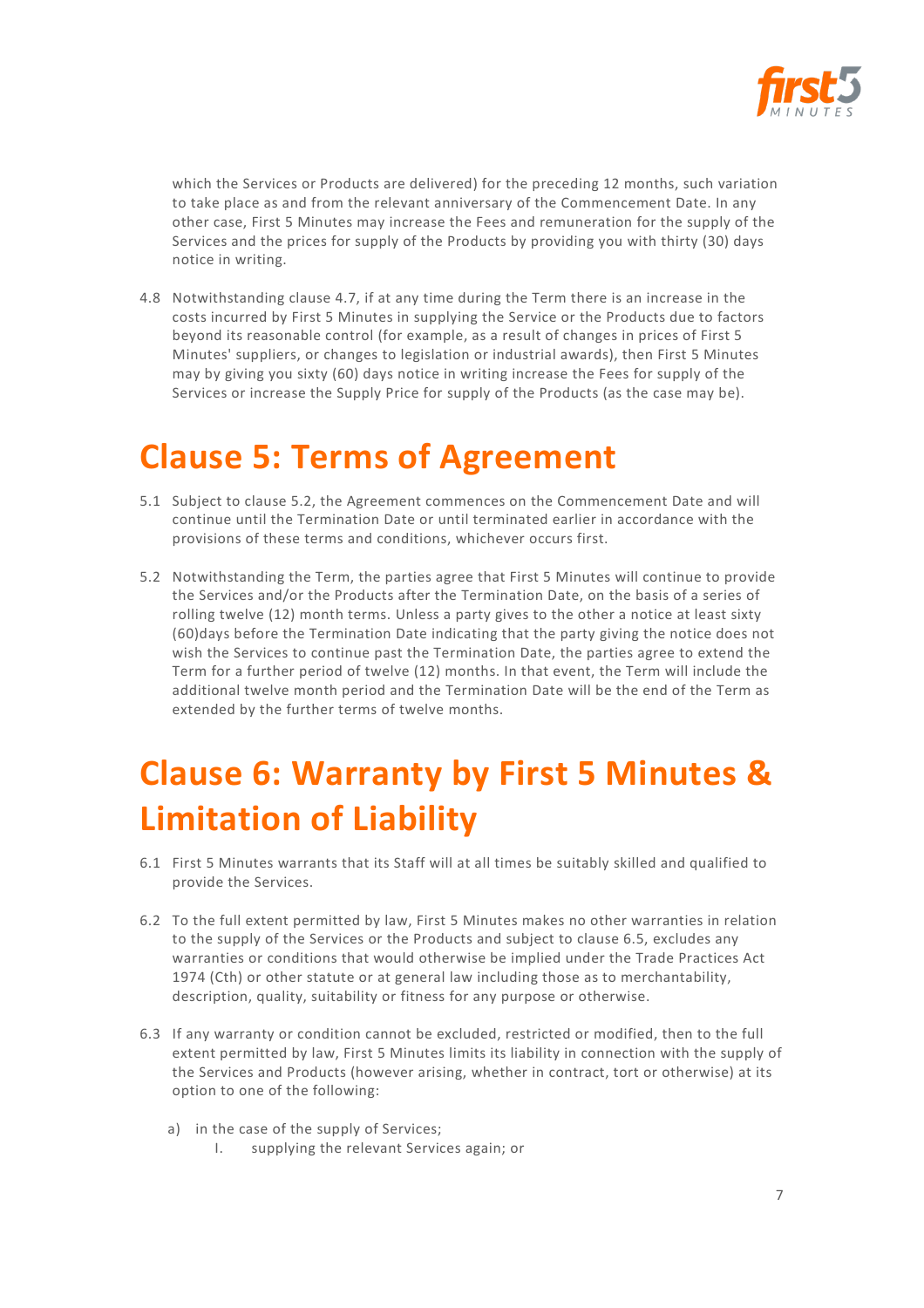

which the Services or Products are delivered) for the preceding 12 months, such variation to take place as and from the relevant anniversary of the Commencement Date. In any other case, First 5 Minutes may increase the Fees and remuneration for the supply of the Services and the prices for supply of the Products by providing you with thirty (30) days notice in writing.

4.8 Notwithstanding clause 4.7, if at any time during the Term there is an increase in the costs incurred by First 5 Minutes in supplying the Service or the Products due to factors beyond its reasonable control (for example, as a result of changes in prices of First 5 Minutes' suppliers, or changes to legislation or industrial awards), then First 5 Minutes may by giving you sixty (60) days notice in writing increase the Fees for supply of the Services or increase the Supply Price for supply of the Products (as the case may be).

#### **Clause 5: Terms of Agreement**

- 5.1 Subject to clause 5.2, the Agreement commences on the Commencement Date and will continue until the Termination Date or until terminated earlier in accordance with the provisions of these terms and conditions, whichever occurs first.
- 5.2 Notwithstanding the Term, the parties agree that First 5 Minutes will continue to provide the Services and/or the Products after the Termination Date, on the basis of a series of rolling twelve (12) month terms. Unless a party gives to the other a notice at least sixty (60)days before the Termination Date indicating that the party giving the notice does not wish the Services to continue past the Termination Date, the parties agree to extend the Term for a further period of twelve (12) months. In that event, the Term will include the additional twelve month period and the Termination Date will be the end of the Term as extended by the further terms of twelve months.

# **Clause 6: Warranty by First 5 Minutes & Limitation of Liability**

- 6.1 First 5 Minutes warrants that its Staff will at all times be suitably skilled and qualified to provide the Services.
- 6.2 To the full extent permitted by law, First 5 Minutes makes no other warranties in relation to the supply of the Services or the Products and subject to clause 6.5, excludes any warranties or conditions that would otherwise be implied under the Trade Practices Act 1974 (Cth) or other statute or at general law including those as to merchantability, description, quality, suitability or fitness for any purpose or otherwise.
- 6.3 If any warranty or condition cannot be excluded, restricted or modified, then to the full extent permitted by law, First 5 Minutes limits its liability in connection with the supply of the Services and Products (however arising, whether in contract, tort or otherwise) at its option to one of the following:
	- a) in the case of the supply of Services;
		- I. supplying the relevant Services again; or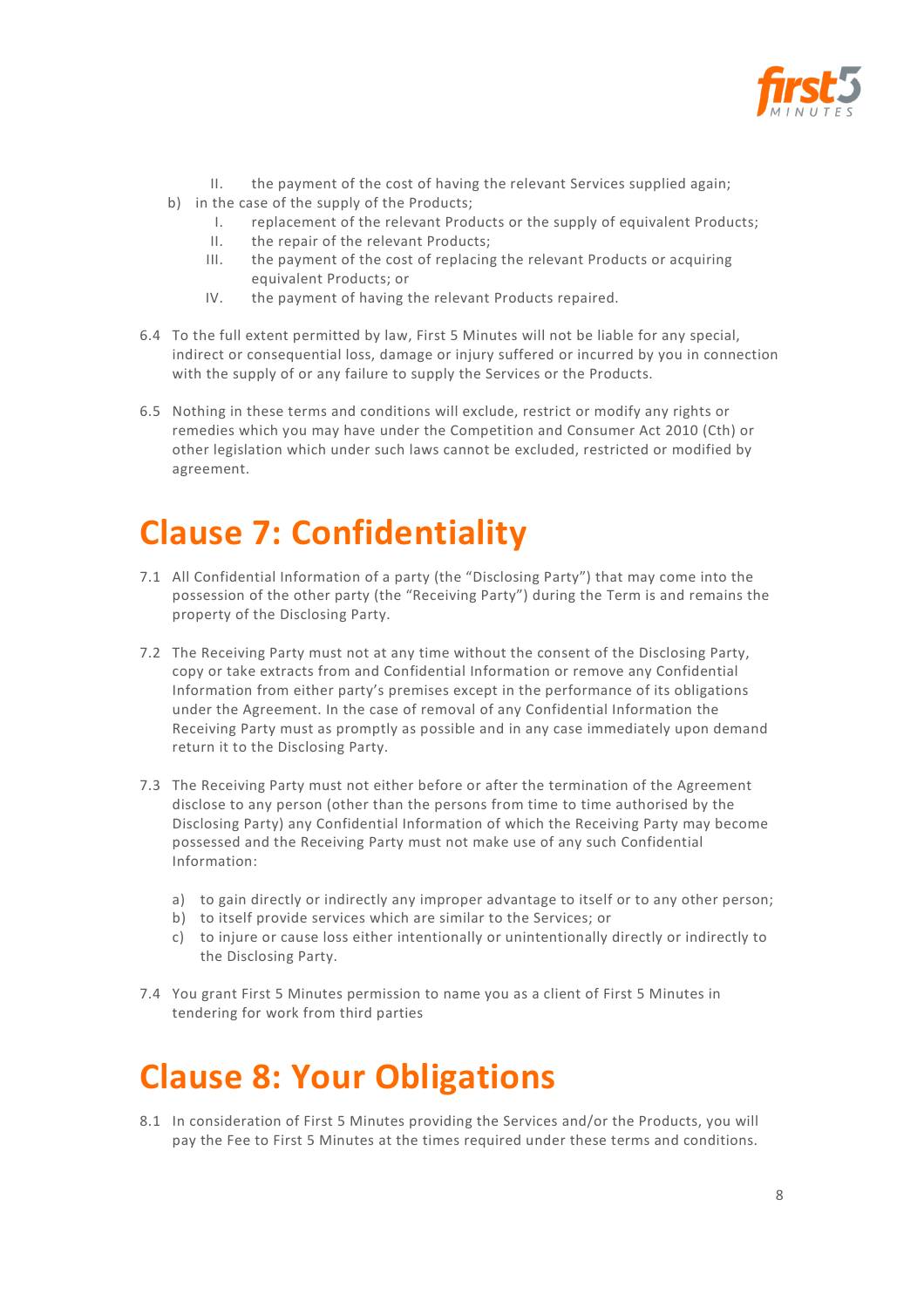

- II. the payment of the cost of having the relevant Services supplied again;
- b) in the case of the supply of the Products;
	- I. replacement of the relevant Products or the supply of equivalent Products;
	- II. the repair of the relevant Products;
	- III. the payment of the cost of replacing the relevant Products or acquiring equivalent Products; or
	- IV. the payment of having the relevant Products repaired.
- 6.4 To the full extent permitted by law, First 5 Minutes will not be liable for any special, indirect or consequential loss, damage or injury suffered or incurred by you in connection with the supply of or any failure to supply the Services or the Products.
- 6.5 Nothing in these terms and conditions will exclude, restrict or modify any rights or remedies which you may have under the Competition and Consumer Act 2010 (Cth) or other legislation which under such laws cannot be excluded, restricted or modified by agreement.

## **Clause 7: Confidentiality**

- 7.1 All Confidential Information of a party (the "Disclosing Party") that may come into the possession of the other party (the "Receiving Party") during the Term is and remains the property of the Disclosing Party.
- 7.2 The Receiving Party must not at any time without the consent of the Disclosing Party, copy or take extracts from and Confidential Information or remove any Confidential Information from either party's premises except in the performance of its obligations under the Agreement. In the case of removal of any Confidential Information the Receiving Party must as promptly as possible and in any case immediately upon demand return it to the Disclosing Party.
- 7.3 The Receiving Party must not either before or after the termination of the Agreement disclose to any person (other than the persons from time to time authorised by the Disclosing Party) any Confidential Information of which the Receiving Party may become possessed and the Receiving Party must not make use of any such Confidential Information:
	- a) to gain directly or indirectly any improper advantage to itself or to any other person;
	- b) to itself provide services which are similar to the Services; or
	- c) to injure or cause loss either intentionally or unintentionally directly or indirectly to the Disclosing Party.
- 7.4 You grant First 5 Minutes permission to name you as a client of First 5 Minutes in tendering for work from third parties

#### **Clause 8: Your Obligations**

8.1 In consideration of First 5 Minutes providing the Services and/or the Products, you will pay the Fee to First 5 Minutes at the times required under these terms and conditions.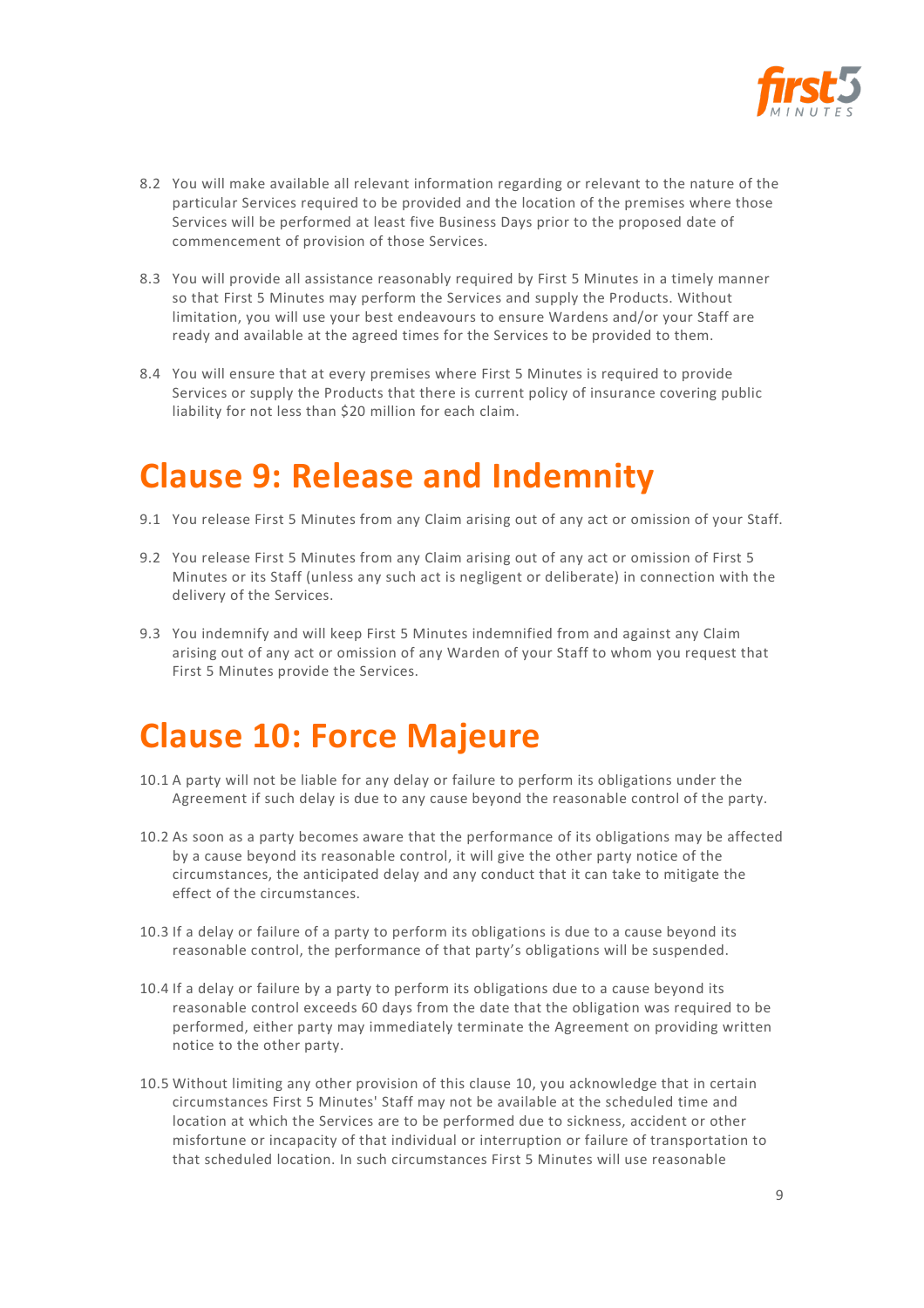

- 8.2 You will make available all relevant information regarding or relevant to the nature of the particular Services required to be provided and the location of the premises where those Services will be performed at least five Business Days prior to the proposed date of commencement of provision of those Services.
- 8.3 You will provide all assistance reasonably required by First 5 Minutes in a timely manner so that First 5 Minutes may perform the Services and supply the Products. Without limitation, you will use your best endeavours to ensure Wardens and/or your Staff are ready and available at the agreed times for the Services to be provided to them.
- 8.4 You will ensure that at every premises where First 5 Minutes is required to provide Services or supply the Products that there is current policy of insurance covering public liability for not less than \$20 million for each claim.

#### **Clause 9: Release and Indemnity**

- 9.1 You release First 5 Minutes from any Claim arising out of any act or omission of your Staff.
- 9.2 You release First 5 Minutes from any Claim arising out of any act or omission of First 5 Minutes or its Staff (unless any such act is negligent or deliberate) in connection with the delivery of the Services.
- 9.3 You indemnify and will keep First 5 Minutes indemnified from and against any Claim arising out of any act or omission of any Warden of your Staff to whom you request that First 5 Minutes provide the Services.

## **Clause 10: Force Majeure**

- 10.1 A party will not be liable for any delay or failure to perform its obligations under the Agreement if such delay is due to any cause beyond the reasonable control of the party.
- 10.2 As soon as a party becomes aware that the performance of its obligations may be affected by a cause beyond its reasonable control, it will give the other party notice of the circumstances, the anticipated delay and any conduct that it can take to mitigate the effect of the circumstances.
- 10.3 If a delay or failure of a party to perform its obligations is due to a cause beyond its reasonable control, the performance of that party's obligations will be suspended.
- 10.4 If a delay or failure by a party to perform its obligations due to a cause beyond its reasonable control exceeds 60 days from the date that the obligation was required to be performed, either party may immediately terminate the Agreement on providing written notice to the other party.
- 10.5 Without limiting any other provision of this clause 10, you acknowledge that in certain circumstances First 5 Minutes' Staff may not be available at the scheduled time and location at which the Services are to be performed due to sickness, accident or other misfortune or incapacity of that individual or interruption or failure of transportation to that scheduled location. In such circumstances First 5 Minutes will use reasonable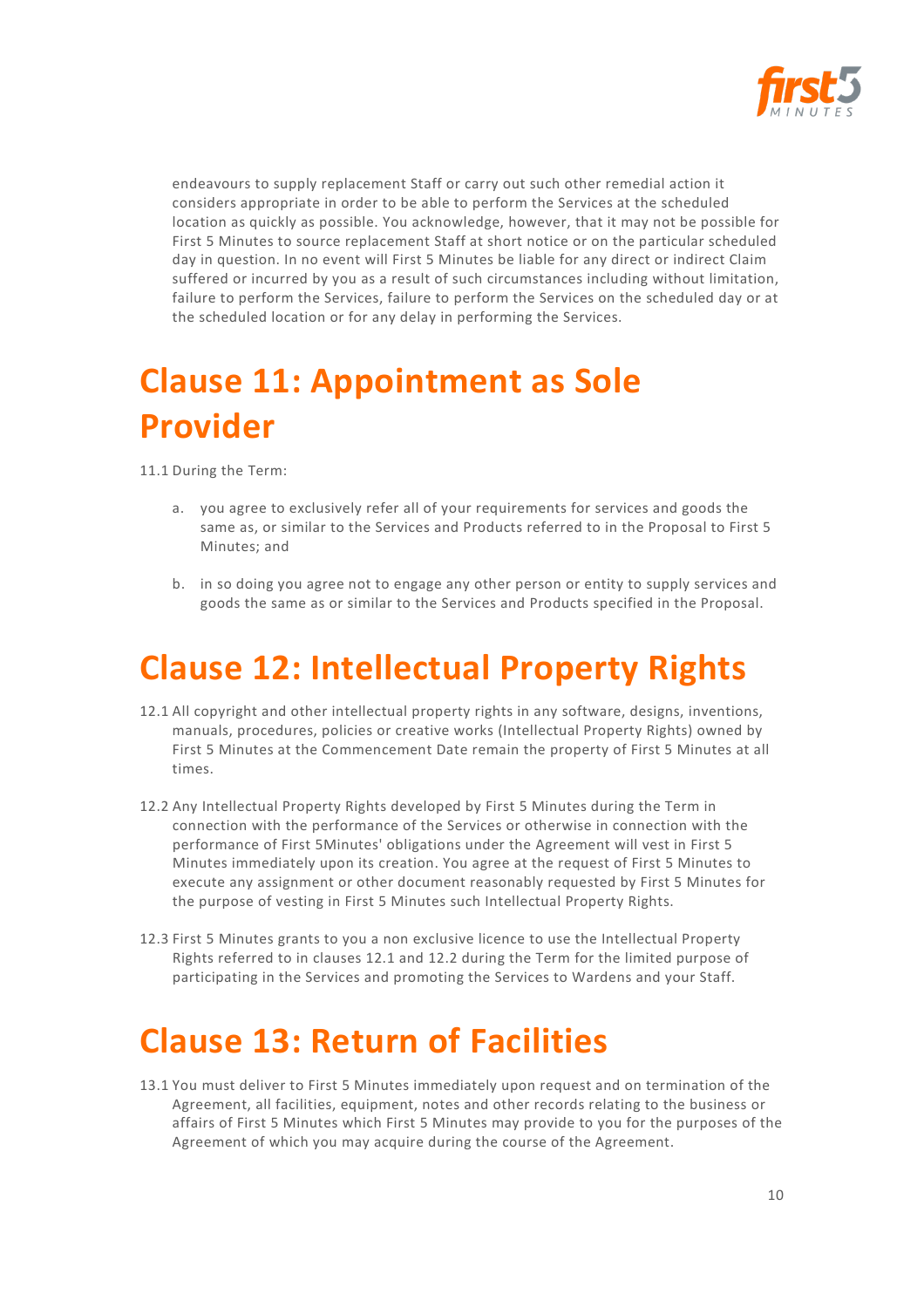

endeavours to supply replacement Staff or carry out such other remedial action it considers appropriate in order to be able to perform the Services at the scheduled location as quickly as possible. You acknowledge, however, that it may not be possible for First 5 Minutes to source replacement Staff at short notice or on the particular scheduled day in question. In no event will First 5 Minutes be liable for any direct or indirect Claim suffered or incurred by you as a result of such circumstances including without limitation, failure to perform the Services, failure to perform the Services on the scheduled day or at the scheduled location or for any delay in performing the Services.

# **Clause 11: Appointment as Sole Provider**

11.1 During the Term:

- a. you agree to exclusively refer all of your requirements for services and goods the same as, or similar to the Services and Products referred to in the Proposal to First 5 Minutes; and
- b. in so doing you agree not to engage any other person or entity to supply services and goods the same as or similar to the Services and Products specified in the Proposal.

## **Clause 12: Intellectual Property Rights**

- 12.1 All copyright and other intellectual property rights in any software, designs, inventions, manuals, procedures, policies or creative works (Intellectual Property Rights) owned by First 5 Minutes at the Commencement Date remain the property of First 5 Minutes at all times.
- 12.2 Any Intellectual Property Rights developed by First 5 Minutes during the Term in connection with the performance of the Services or otherwise in connection with the performance of First 5Minutes' obligations under the Agreement will vest in First 5 Minutes immediately upon its creation. You agree at the request of First 5 Minutes to execute any assignment or other document reasonably requested by First 5 Minutes for the purpose of vesting in First 5 Minutes such Intellectual Property Rights.
- 12.3 First 5 Minutes grants to you a non exclusive licence to use the Intellectual Property Rights referred to in clauses 12.1 and 12.2 during the Term for the limited purpose of participating in the Services and promoting the Services to Wardens and your Staff.

## **Clause 13: Return of Facilities**

13.1 You must deliver to First 5 Minutes immediately upon request and on termination of the Agreement, all facilities, equipment, notes and other records relating to the business or affairs of First 5 Minutes which First 5 Minutes may provide to you for the purposes of the Agreement of which you may acquire during the course of the Agreement.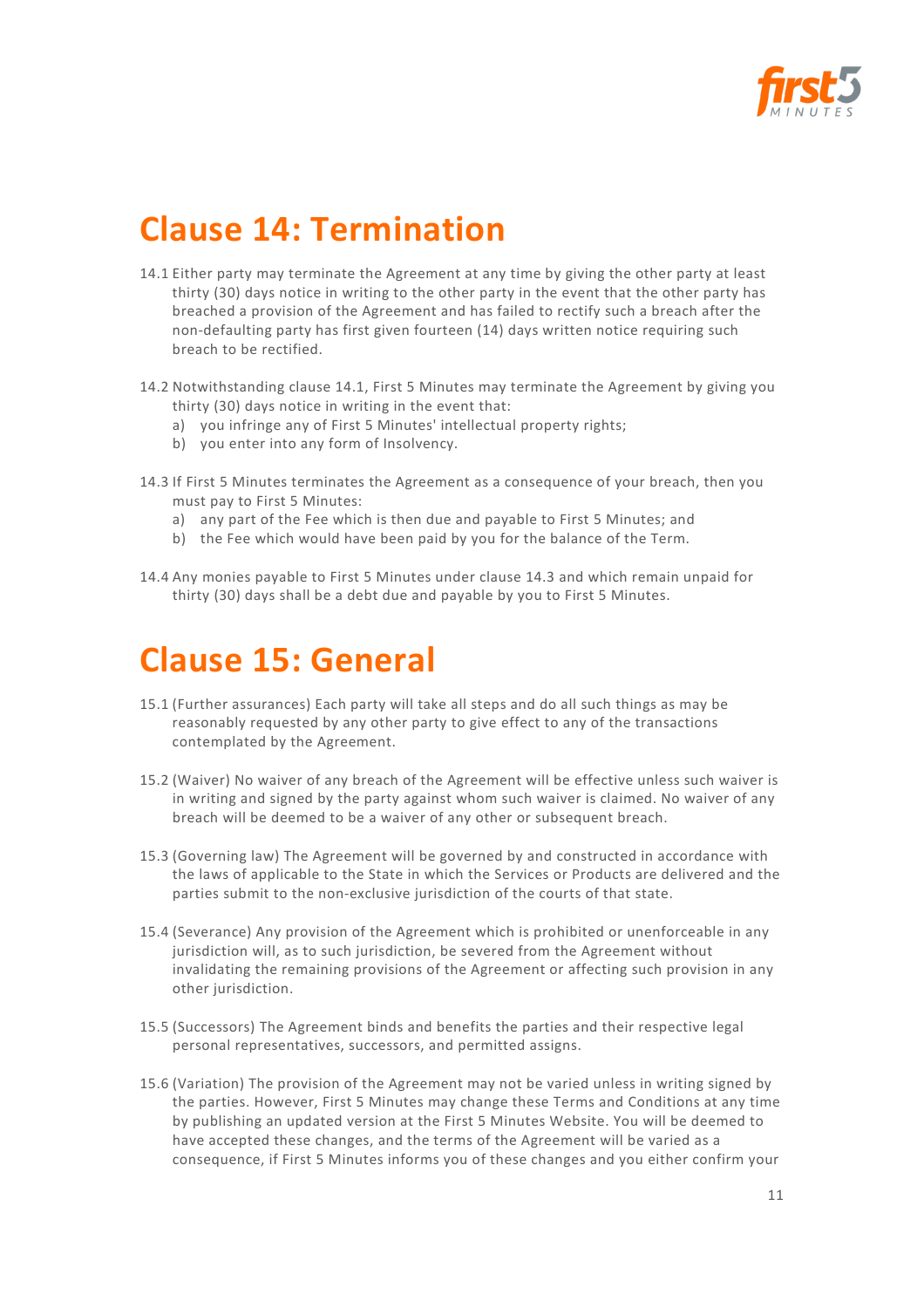

## **Clause 14: Termination**

- 14.1 Either party may terminate the Agreement at any time by giving the other party at least thirty (30) days notice in writing to the other party in the event that the other party has breached a provision of the Agreement and has failed to rectify such a breach after the non-defaulting party has first given fourteen (14) days written notice requiring such breach to be rectified.
- 14.2 Notwithstanding clause 14.1, First 5 Minutes may terminate the Agreement by giving you thirty (30) days notice in writing in the event that:
	- a) you infringe any of First 5 Minutes' intellectual property rights;
	- b) you enter into any form of Insolvency.
- 14.3 If First 5 Minutes terminates the Agreement as a consequence of your breach, then you must pay to First 5 Minutes:
	- a) any part of the Fee which is then due and payable to First 5 Minutes; and
	- b) the Fee which would have been paid by you for the balance of the Term.
- 14.4 Any monies payable to First 5 Minutes under clause 14.3 and which remain unpaid for thirty (30) days shall be a debt due and payable by you to First 5 Minutes.

## **Clause 15: General**

- 15.1 (Further assurances) Each party will take all steps and do all such things as may be reasonably requested by any other party to give effect to any of the transactions contemplated by the Agreement.
- 15.2 (Waiver) No waiver of any breach of the Agreement will be effective unless such waiver is in writing and signed by the party against whom such waiver is claimed. No waiver of any breach will be deemed to be a waiver of any other or subsequent breach.
- 15.3 (Governing law) The Agreement will be governed by and constructed in accordance with the laws of applicable to the State in which the Services or Products are delivered and the parties submit to the non-exclusive jurisdiction of the courts of that state.
- 15.4 (Severance) Any provision of the Agreement which is prohibited or unenforceable in any jurisdiction will, as to such jurisdiction, be severed from the Agreement without invalidating the remaining provisions of the Agreement or affecting such provision in any other jurisdiction.
- 15.5 (Successors) The Agreement binds and benefits the parties and their respective legal personal representatives, successors, and permitted assigns.
- 15.6 (Variation) The provision of the Agreement may not be varied unless in writing signed by the parties. However, First 5 Minutes may change these Terms and Conditions at any time by publishing an updated version at the First 5 Minutes Website. You will be deemed to have accepted these changes, and the terms of the Agreement will be varied as a consequence, if First 5 Minutes informs you of these changes and you either confirm your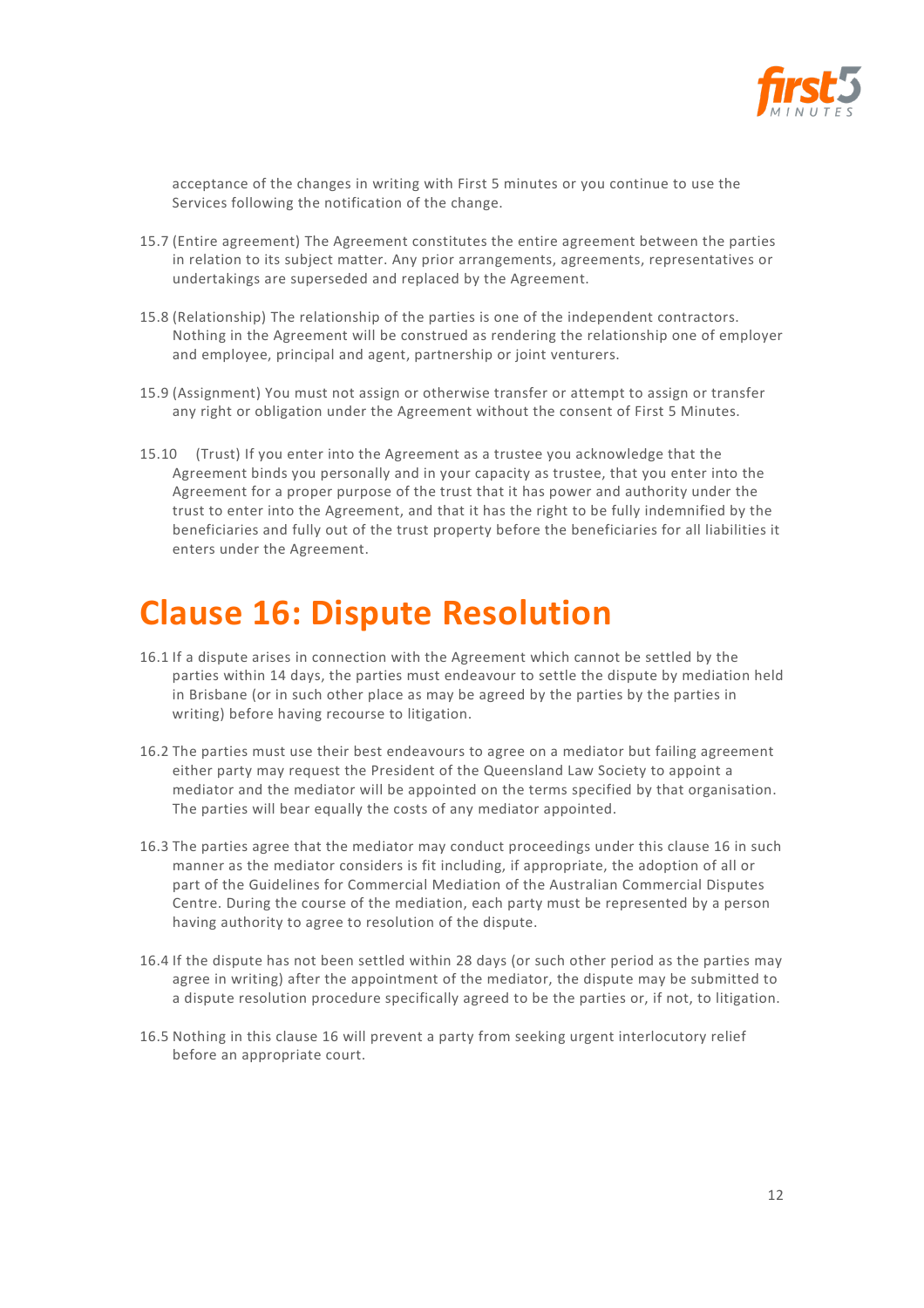

acceptance of the changes in writing with First 5 minutes or you continue to use the Services following the notification of the change.

- 15.7 (Entire agreement) The Agreement constitutes the entire agreement between the parties in relation to its subject matter. Any prior arrangements, agreements, representatives or undertakings are superseded and replaced by the Agreement.
- 15.8 (Relationship) The relationship of the parties is one of the independent contractors. Nothing in the Agreement will be construed as rendering the relationship one of employer and employee, principal and agent, partnership or joint venturers.
- 15.9 (Assignment) You must not assign or otherwise transfer or attempt to assign or transfer any right or obligation under the Agreement without the consent of First 5 Minutes.
- 15.10 (Trust) If you enter into the Agreement as a trustee you acknowledge that the Agreement binds you personally and in your capacity as trustee, that you enter into the Agreement for a proper purpose of the trust that it has power and authority under the trust to enter into the Agreement, and that it has the right to be fully indemnified by the beneficiaries and fully out of the trust property before the beneficiaries for all liabilities it enters under the Agreement.

#### **Clause 16: Dispute Resolution**

- 16.1 If a dispute arises in connection with the Agreement which cannot be settled by the parties within 14 days, the parties must endeavour to settle the dispute by mediation held in Brisbane (or in such other place as may be agreed by the parties by the parties in writing) before having recourse to litigation.
- 16.2 The parties must use their best endeavours to agree on a mediator but failing agreement either party may request the President of the Queensland Law Society to appoint a mediator and the mediator will be appointed on the terms specified by that organisation. The parties will bear equally the costs of any mediator appointed.
- 16.3 The parties agree that the mediator may conduct proceedings under this clause 16 in such manner as the mediator considers is fit including, if appropriate, the adoption of all or part of the Guidelines for Commercial Mediation of the Australian Commercial Disputes Centre. During the course of the mediation, each party must be represented by a person having authority to agree to resolution of the dispute.
- 16.4 If the dispute has not been settled within 28 days (or such other period as the parties may agree in writing) after the appointment of the mediator, the dispute may be submitted to a dispute resolution procedure specifically agreed to be the parties or, if not, to litigation.
- 16.5 Nothing in this clause 16 will prevent a party from seeking urgent interlocutory relief before an appropriate court.